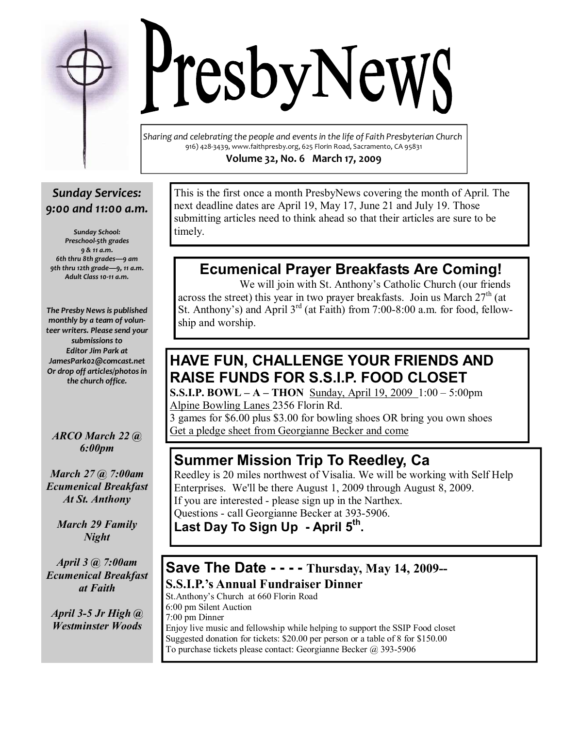Sharing and celebrating the people and events in the life of Faith Presbyterian Church 916) 428-3439, www.faithpresby.org, 625 Florin Road, Sacramento, CA 95831 Volume 32, No. 6 March 17, 2009

**TesbyNewS** 

### Sunday Services: 9:00 and 11:00 a.m.

Sunday School: Preschool-5th grades 9 & 11 a.m. 6th thru 8th grades—9 am 9th thru 12th grade—9, 11 a.m. Adult Class 10-11 a.m.

The Presby News is published monthly by a team of volunteer writers. Please send your submissions to Editor Jim Park at JamesPark02@comcast.net Or drop off articles/photos in the church office.

ARCO March 22 @ 6:00pm

March 27 @ 7:00am Ecumenical Breakfast At St. Anthony

March 29 Family **Night** 

April 3 @ 7:00am Ecumenical Breakfast at Faith

April 3-5 Jr High @ Westminster Woods

This is the first once a month PresbyNews covering the month of April. The next deadline dates are April 19, May 17, June 21 and July 19. Those submitting articles need to think ahead so that their articles are sure to be timely.

# Ecumenical Prayer Breakfasts Are Coming!

 We will join with St. Anthony's Catholic Church (our friends across the street) this year in two prayer breakfasts. Join us March  $27<sup>th</sup>$  (at St. Anthony's) and April 3<sup>rd</sup> (at Faith) from 7:00-8:00 a.m. for food, fellowship and worship.

## HAVE FUN, CHALLENGE YOUR FRIENDS AND RAISE FUNDS FOR S.S.I.P. FOOD CLOSET

**S.S.I.P. BOWL – A – THON** Sunday, April 19, 2009  $1:00 - 5:00$ pm Alpine Bowling Lanes 2356 Florin Rd.

3 games for \$6.00 plus \$3.00 for bowling shoes OR bring you own shoes Get a pledge sheet from Georgianne Becker and come

## Summer Mission Trip To Reedley, Ca

Reedley is 20 miles northwest of Visalia. We will be working with Self Help Enterprises. We'll be there August 1, 2009 through August 8, 2009. If you are interested - please sign up in the Narthex. Questions - call Georgianne Becker at 393-5906.

Last Day To Sign Up - April 5<sup>th</sup>.

### Save The Date - - - - Thursday, May 14, 2009-- S.S.I.P.'s Annual Fundraiser Dinner

St.Anthony's Church at 660 Florin Road 6:00 pm Silent Auction 7:00 pm Dinner Enjoy live music and fellowship while helping to support the SSIP Food closet Suggested donation for tickets: \$20.00 per person or a table of 8 for \$150.00 To purchase tickets please contact: Georgianne Becker @ 393-5906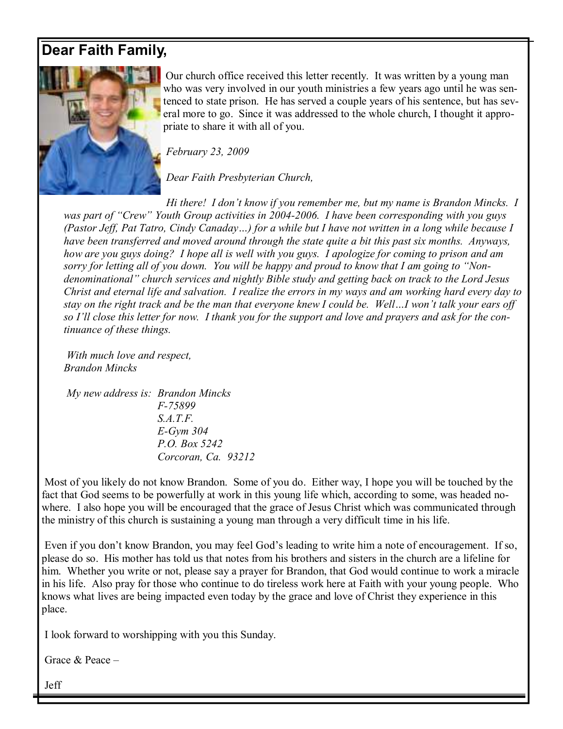## Dear Faith Family,



Our church office received this letter recently. It was written by a young man who was very involved in our youth ministries a few years ago until he was sentenced to state prison. He has served a couple years of his sentence, but has several more to go. Since it was addressed to the whole church, I thought it appropriate to share it with all of you.

February 23, 2009

Dear Faith Presbyterian Church,

 Hi there! I don't know if you remember me, but my name is Brandon Mincks. I was part of "Crew" Youth Group activities in 2004-2006. I have been corresponding with you guys (Pastor Jeff, Pat Tatro, Cindy Canaday…) for a while but I have not written in a long while because I have been transferred and moved around through the state quite a bit this past six months. Anyways, how are you guys doing? I hope all is well with you guys. I apologize for coming to prison and am sorry for letting all of you down. You will be happy and proud to know that I am going to "Nondenominational" church services and nightly Bible study and getting back on track to the Lord Jesus Christ and eternal life and salvation. I realize the errors in my ways and am working hard every day to stay on the right track and be the man that everyone knew I could be. Well…I won't talk your ears off so I'll close this letter for now. I thank you for the support and love and prayers and ask for the continuance of these things.

 With much love and respect, Brandon Mincks

 My new address is: Brandon Mincks F-75899 S.A.T.F. E-Gym 304 P.O. Box 5242 Corcoran, Ca. 93212

 Most of you likely do not know Brandon. Some of you do. Either way, I hope you will be touched by the fact that God seems to be powerfully at work in this young life which, according to some, was headed nowhere. I also hope you will be encouraged that the grace of Jesus Christ which was communicated through the ministry of this church is sustaining a young man through a very difficult time in his life.

 Even if you don't know Brandon, you may feel God's leading to write him a note of encouragement. If so, please do so. His mother has told us that notes from his brothers and sisters in the church are a lifeline for him. Whether you write or not, please say a prayer for Brandon, that God would continue to work a miracle in his life. Also pray for those who continue to do tireless work here at Faith with your young people. Who knows what lives are being impacted even today by the grace and love of Christ they experience in this place.

I look forward to worshipping with you this Sunday.

Grace & Peace –

Jeff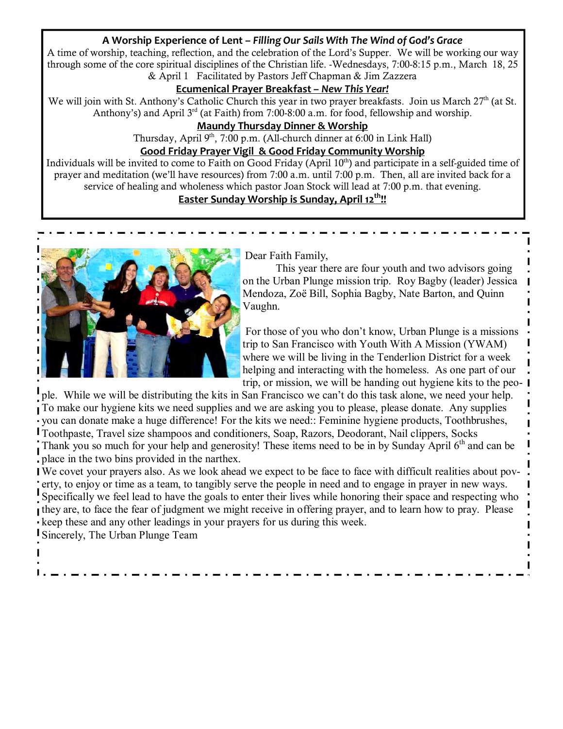#### A Worship Experience of Lent – Filling Our Sails With The Wind of God's Grace

A time of worship, teaching, reflection, and the celebration of the Lord's Supper. We will be working our way through some of the core spiritual disciplines of the Christian life. -Wednesdays, 7:00-8:15 p.m., March 18, 25 & April 1 Facilitated by Pastors Jeff Chapman & Jim Zazzera

#### Ecumenical Prayer Breakfast – New This Year!

We will join with St. Anthony's Catholic Church this year in two prayer breakfasts. Join us March  $27<sup>th</sup>$  (at St. Anthony's) and April  $3<sup>rd</sup>$  (at Faith) from 7:00-8:00 a.m. for food, fellowship and worship.

#### Maundy Thursday Dinner & Worship

Thursday, April  $9<sup>th</sup>$ , 7:00 p.m. (All-church dinner at 6:00 in Link Hall)

#### Good Friday Prayer Vigil & Good Friday Community Worship

Individuals will be invited to come to Faith on Good Friday (April  $10<sup>th</sup>$ ) and participate in a self-guided time of prayer and meditation (we'll have resources) from 7:00 a.m. until 7:00 p.m. Then, all are invited back for a service of healing and wholeness which pastor Joan Stock will lead at 7:00 p.m. that evening.

#### Easter Sunday Worship is Sunday, April 12<sup>th</sup>!!



Dear Faith Family,

This year there are four youth and two advisors going on the Urban Plunge mission trip. Roy Bagby (leader) Jessica Mendoza, Zoë Bill, Sophia Bagby, Nate Barton, and Quinn Vaughn.

 For those of you who don't know, Urban Plunge is a missions trip to San Francisco with Youth With A Mission (YWAM) where we will be living in the Tenderlion District for a week helping and interacting with the homeless. As one part of our trip, or mission, we will be handing out hygiene kits to the peo-

ple. While we will be distributing the kits in San Francisco we can't do this task alone, we need your help. To make our hygiene kits we need supplies and we are asking you to please, please donate. Any supplies you can donate make a huge difference! For the kits we need:: Feminine hygiene products, Toothbrushes, Toothpaste, Travel size shampoos and conditioners, Soap, Razors, Deodorant, Nail clippers, Socks Thank you so much for your help and generosity! These items need to be in by Sunday April  $6<sup>th</sup>$  and can be place in the two bins provided in the narthex.

We covet your prayers also. As we look ahead we expect to be face to face with difficult realities about poverty, to enjoy or time as a team, to tangibly serve the people in need and to engage in prayer in new ways. Specifically we feel lead to have the goals to enter their lives while honoring their space and respecting who they are, to face the fear of judgment we might receive in offering prayer, and to learn how to pray. Please keep these and any other leadings in your prayers for us during this week.

Sincerely, The Urban Plunge Team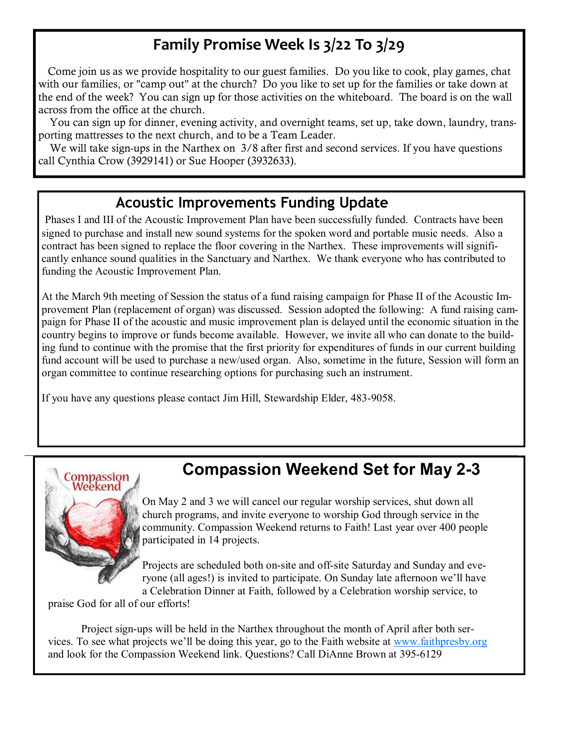# Family Promise Week Is 3/22 To 3/29

 Come join us as we provide hospitality to our guest families. Do you like to cook, play games, chat with our families, or "camp out" at the church? Do you like to set up for the families or take down at the end of the week? You can sign up for those activities on the whiteboard. The board is on the wall across from the office at the church.

 You can sign up for dinner, evening activity, and overnight teams, set up, take down, laundry, transporting mattresses to the next church, and to be a Team Leader.

We will take sign-ups in the Narthex on 3/8 after first and second services. If you have questions call Cynthia Crow (3929141) or Sue Hooper (3932633).

### Acoustic Improvements Funding Update

Phases I and III of the Acoustic Improvement Plan have been successfully funded. Contracts have been signed to purchase and install new sound systems for the spoken word and portable music needs. Also a contract has been signed to replace the floor covering in the Narthex. These improvements will significantly enhance sound qualities in the Sanctuary and Narthex. We thank everyone who has contributed to funding the Acoustic Improvement Plan.

At the March 9th meeting of Session the status of a fund raising campaign for Phase II of the Acoustic Improvement Plan (replacement of organ) was discussed. Session adopted the following: A fund raising campaign for Phase II of the acoustic and music improvement plan is delayed until the economic situation in the country begins to improve or funds become available. However, we invite all who can donate to the building fund to continue with the promise that the first priority for expenditures of funds in our current building fund account will be used to purchase a new/used organ. Also, sometime in the future, Session will form an organ committee to continue researching options for purchasing such an instrument.

If you have any questions please contact Jim Hill, Stewardship Elder, 483-9058.



# Compassion Weekend Set for May 2-3

On May 2 and 3 we will cancel our regular worship services, shut down all church programs, and invite everyone to worship God through service in the community. Compassion Weekend returns to Faith! Last year over 400 people participated in 14 projects.

Projects are scheduled both on-site and off-site Saturday and Sunday and everyone (all ages!) is invited to participate. On Sunday late afternoon we'll have a Celebration Dinner at Faith, followed by a Celebration worship service, to

praise God for all of our efforts!

Project sign-ups will be held in the Narthex throughout the month of April after both services. To see what projects we'll be doing this year, go to the Faith website at www.faithpresby.org and look for the Compassion Weekend link. Questions? Call DiAnne Brown at 395-6129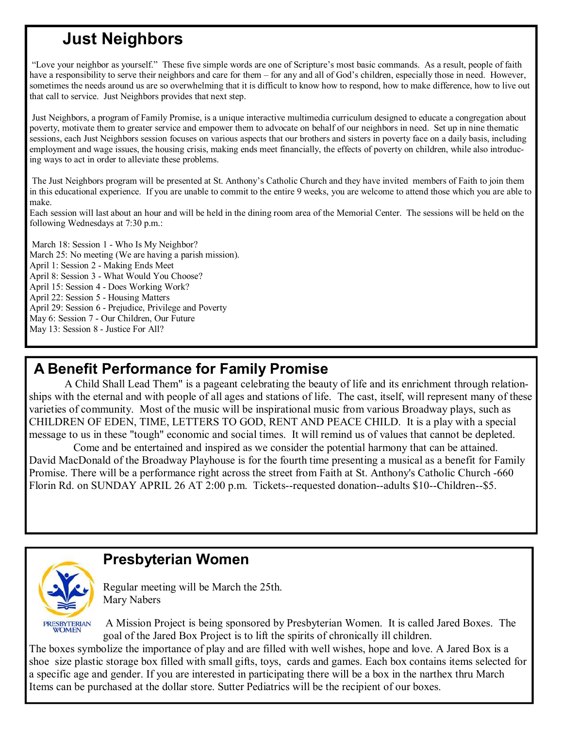# Just Neighbors

 "Love your neighbor as yourself." These five simple words are one of Scripture's most basic commands. As a result, people of faith have a responsibility to serve their neighbors and care for them – for any and all of God's children, especially those in need. However, sometimes the needs around us are so overwhelming that it is difficult to know how to respond, how to make difference, how to live out that call to service. Just Neighbors provides that next step.

 Just Neighbors, a program of Family Promise, is a unique interactive multimedia curriculum designed to educate a congregation about poverty, motivate them to greater service and empower them to advocate on behalf of our neighbors in need. Set up in nine thematic sessions, each Just Neighbors session focuses on various aspects that our brothers and sisters in poverty face on a daily basis, including employment and wage issues, the housing crisis, making ends meet financially, the effects of poverty on children, while also introducing ways to act in order to alleviate these problems.

 The Just Neighbors program will be presented at St. Anthony's Catholic Church and they have invited members of Faith to join them in this educational experience. If you are unable to commit to the entire 9 weeks, you are welcome to attend those which you are able to make.

Each session will last about an hour and will be held in the dining room area of the Memorial Center. The sessions will be held on the following Wednesdays at 7:30 p.m.:

March 18: Session 1 - Who Is My Neighbor? March 25: No meeting (We are having a parish mission). April 1: Session 2 - Making Ends Meet April 8: Session 3 - What Would You Choose? April 15: Session 4 - Does Working Work? April 22: Session 5 - Housing Matters April 29: Session 6 - Prejudice, Privilege and Poverty May 6: Session 7 - Our Children, Our Future May 13: Session 8 - Justice For All?

## A Benefit Performance for Family Promise

 A Child Shall Lead Them" is a pageant celebrating the beauty of life and its enrichment through relationships with the eternal and with people of all ages and stations of life. The cast, itself, will represent many of these varieties of community. Most of the music will be inspirational music from various Broadway plays, such as CHILDREN OF EDEN, TIME, LETTERS TO GOD, RENT AND PEACE CHILD. It is a play with a special message to us in these "tough" economic and social times. It will remind us of values that cannot be depleted.

 Come and be entertained and inspired as we consider the potential harmony that can be attained. David MacDonald of the Broadway Playhouse is for the fourth time presenting a musical as a benefit for Family Promise. There will be a performance right across the street from Faith at St. Anthony's Catholic Church -660 Florin Rd. on SUNDAY APRIL 26 AT 2:00 p.m. Tickets--requested donation--adults \$10--Children--\$5.



## Presbyterian Women

Regular meeting will be March the 25th. Mary Nabers

A Mission Project is being sponsored by Presbyterian Women. It is called Jared Boxes. The goal of the Jared Box Project is to lift the spirits of chronically ill children.

The boxes symbolize the importance of play and are filled with well wishes, hope and love. A Jared Box is a shoe size plastic storage box filled with small gifts, toys, cards and games. Each box contains items selected for a specific age and gender. If you are interested in participating there will be a box in the narthex thru March Items can be purchased at the dollar store. Sutter Pediatrics will be the recipient of our boxes.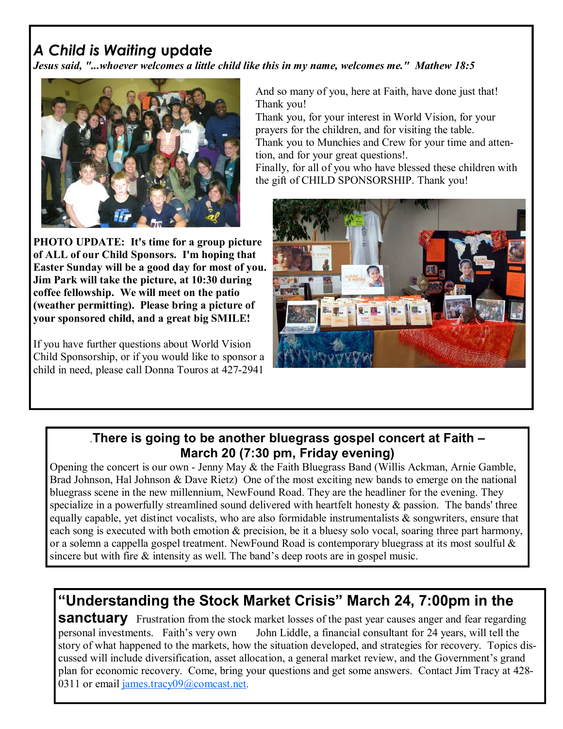# A Child is Waiting update

Jesus said, "...whoever welcomes a little child like this in my name, welcomes me." Mathew 18:5



PHOTO UPDATE: It's time for a group picture of ALL of our Child Sponsors. I'm hoping that Easter Sunday will be a good day for most of you. Jim Park will take the picture, at 10:30 during coffee fellowship. We will meet on the patio (weather permitting). Please bring a picture of your sponsored child, and a great big SMILE!

If you have further questions about World Vision Child Sponsorship, or if you would like to sponsor a child in need, please call Donna Touros at 427-2941

And so many of you, here at Faith, have done just that! Thank you!

Thank you, for your interest in World Vision, for your prayers for the children, and for visiting the table.

Thank you to Munchies and Crew for your time and attention, and for your great questions!.

Finally, for all of you who have blessed these children with the gift of CHILD SPONSORSHIP. Thank you!



### .There is going to be another bluegrass gospel concert at Faith – March 20 (7:30 pm, Friday evening)

Opening the concert is our own - Jenny May & the Faith Bluegrass Band (Willis Ackman, Arnie Gamble, Brad Johnson, Hal Johnson & Dave Rietz) One of the most exciting new bands to emerge on the national bluegrass scene in the new millennium, NewFound Road. They are the headliner for the evening. They specialize in a powerfully streamlined sound delivered with heartfelt honesty  $\&$  passion. The bands' three equally capable, yet distinct vocalists, who are also formidable instrumentalists & songwriters, ensure that each song is executed with both emotion  $\&$  precision, be it a bluesy solo vocal, soaring three part harmony, or a solemn a cappella gospel treatment. NewFound Road is contemporary bluegrass at its most soulful  $\&$ sincere but with fire  $\&$  intensity as well. The band's deep roots are in gospel music.

# "Understanding the Stock Market Crisis" March 24, 7:00pm in the

**Sanctuary** Frustration from the stock market losses of the past year causes anger and fear regarding personal investments. Faith's very own John Liddle, a financial consultant for 24 years, will tell the story of what happened to the markets, how the situation developed, and strategies for recovery. Topics discussed will include diversification, asset allocation, a general market review, and the Government's grand plan for economic recovery. Come, bring your questions and get some answers. Contact Jim Tracy at 428- 0311 or email james.tracy09@comcast.net.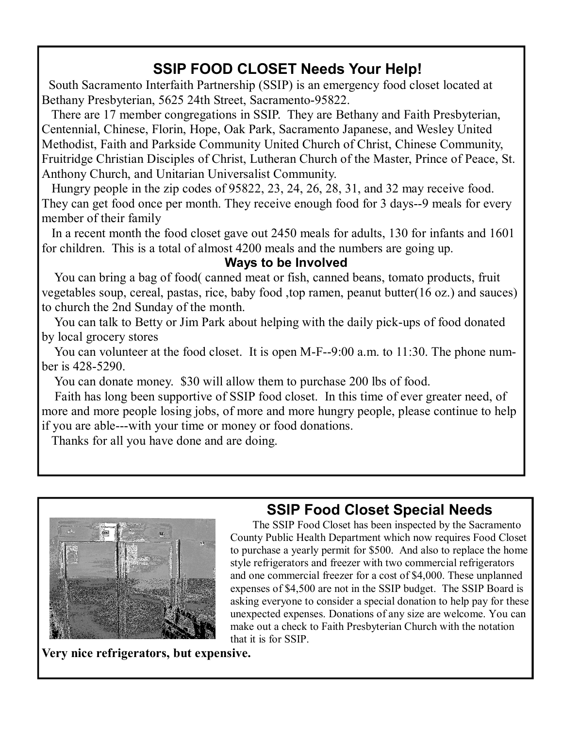# SSIP FOOD CLOSET Needs Your Help!

 South Sacramento Interfaith Partnership (SSIP) is an emergency food closet located at Bethany Presbyterian, 5625 24th Street, Sacramento-95822.

 There are 17 member congregations in SSIP. They are Bethany and Faith Presbyterian, Centennial, Chinese, Florin, Hope, Oak Park, Sacramento Japanese, and Wesley United Methodist, Faith and Parkside Community United Church of Christ, Chinese Community, Fruitridge Christian Disciples of Christ, Lutheran Church of the Master, Prince of Peace, St. Anthony Church, and Unitarian Universalist Community.

 Hungry people in the zip codes of 95822, 23, 24, 26, 28, 31, and 32 may receive food. They can get food once per month. They receive enough food for 3 days--9 meals for every member of their family

 In a recent month the food closet gave out 2450 meals for adults, 130 for infants and 1601 for children. This is a total of almost 4200 meals and the numbers are going up.

Ways to be Involved

 You can bring a bag of food( canned meat or fish, canned beans, tomato products, fruit vegetables soup, cereal, pastas, rice, baby food ,top ramen, peanut butter(16 oz.) and sauces) to church the 2nd Sunday of the month.

 You can talk to Betty or Jim Park about helping with the daily pick-ups of food donated by local grocery stores

You can volunteer at the food closet. It is open M-F--9:00 a.m. to 11:30. The phone number is 428-5290.

You can donate money. \$30 will allow them to purchase 200 lbs of food.

 Faith has long been supportive of SSIP food closet. In this time of ever greater need, of more and more people losing jobs, of more and more hungry people, please continue to help if you are able---with your time or money or food donations.

Thanks for all you have done and are doing.



# SSIP Food Closet Special Needs

 The SSIP Food Closet has been inspected by the Sacramento County Public Health Department which now requires Food Closet to purchase a yearly permit for \$500. And also to replace the home style refrigerators and freezer with two commercial refrigerators and one commercial freezer for a cost of \$4,000. These unplanned expenses of \$4,500 are not in the SSIP budget. The SSIP Board is asking everyone to consider a special donation to help pay for these unexpected expenses. Donations of any size are welcome. You can make out a check to Faith Presbyterian Church with the notation that it is for SSIP.

Very nice refrigerators, but expensive.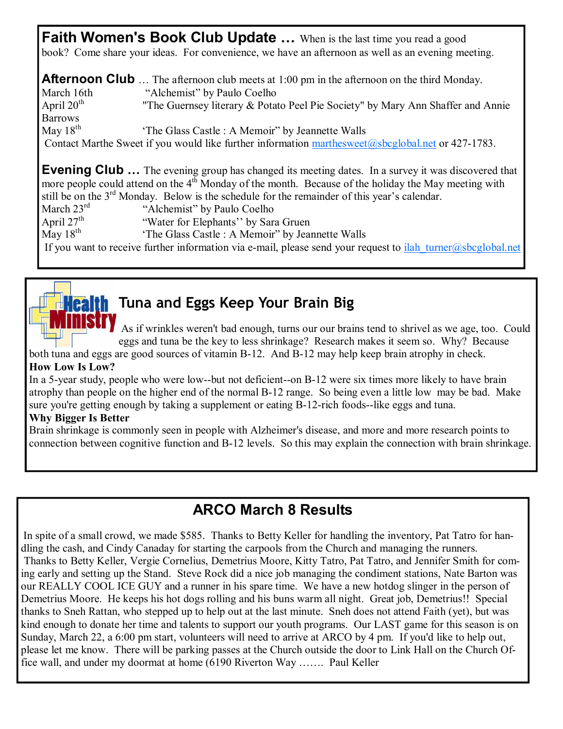**Faith Women's Book Club Update ...** When is the last time you read a good book? Come share your ideas. For convenience, we have an afternoon as well as an evening meeting.

**Afternoon Club** ... The afternoon club meets at 1:00 pm in the afternoon on the third Monday. March 16th "Alchemist" by Paulo Coelho April  $20^{th}$  "The Guernsey literary & Potato Peel Pie Society" by Mary Ann Shaffer and Annie Barrows May  $18<sup>th</sup>$  'The Glass Castle : A Memoir'' by Jeannette Walls Contact Marthe Sweet if you would like further information marthesweet@sbcglobal.net or 427-1783.

**Evening Club** ... The evening group has changed its meeting dates. In a survey it was discovered that more people could attend on the 4<sup>th</sup> Monday of the month. Because of the holiday the May meeting with still be on the  $3^{rd}$  Monday. Below is the schedule for the remainder of this year's calendar.<br>March  $23^{rd}$  "Alchemist" by Paulo Coelho

March  $23^{\text{rd}}$  "Alchemist" by Paulo Coelho<br>April  $27^{\text{th}}$  "Water for Elephants" by Sara

April 27<sup>th</sup> "Water for Elephants'' by Sara Gruen<br>May 18<sup>th</sup> 'The Glass Castle : A Memoir'' by Jean

'The Glass Castle : A Memoir'' by Jeannette Walls

If you want to receive further information via e-mail, please send your request to  $\frac{\text{ilah}\t{tunner@sbcglobal.net}}$ 

# **Thealth** Tuna and Eggs Keep Your Brain Big

As if wrinkles weren't bad enough, turns our our brains tend to shrivel as we age, too. Could eggs and tuna be the key to less shrinkage? Research makes it seem so. Why? Because

both tuna and eggs are good sources of vitamin B-12. And B-12 may help keep brain atrophy in check. How Low Is Low?

In a 5-year study, people who were low--but not deficient--on B-12 were six times more likely to have brain atrophy than people on the higher end of the normal B-12 range. So being even a little low may be bad. Make sure you're getting enough by taking a supplement or eating B-12-rich foods--like eggs and tuna.

#### Why Bigger Is Better

Brain shrinkage is commonly seen in people with Alzheimer's disease, and more and more research points to connection between cognitive function and B-12 levels. So this may explain the connection with brain shrinkage.

# ARCO March 8 Results

In spite of a small crowd, we made \$585. Thanks to Betty Keller for handling the inventory, Pat Tatro for handling the cash, and Cindy Canaday for starting the carpools from the Church and managing the runners. Thanks to Betty Keller, Vergie Cornelius, Demetrius Moore, Kitty Tatro, Pat Tatro, and Jennifer Smith for coming early and setting up the Stand. Steve Rock did a nice job managing the condiment stations, Nate Barton was our REALLY COOL ICE GUY and a runner in his spare time. We have a new hotdog slinger in the person of Demetrius Moore. He keeps his hot dogs rolling and his buns warm all night. Great job, Demetrius!! Special thanks to Sneh Rattan, who stepped up to help out at the last minute. Sneh does not attend Faith (yet), but was kind enough to donate her time and talents to support our youth programs. Our LAST game for this season is on Sunday, March 22, a 6:00 pm start, volunteers will need to arrive at ARCO by 4 pm. If you'd like to help out, please let me know. There will be parking passes at the Church outside the door to Link Hall on the Church Office wall, and under my doormat at home (6190 Riverton Way ……. Paul Keller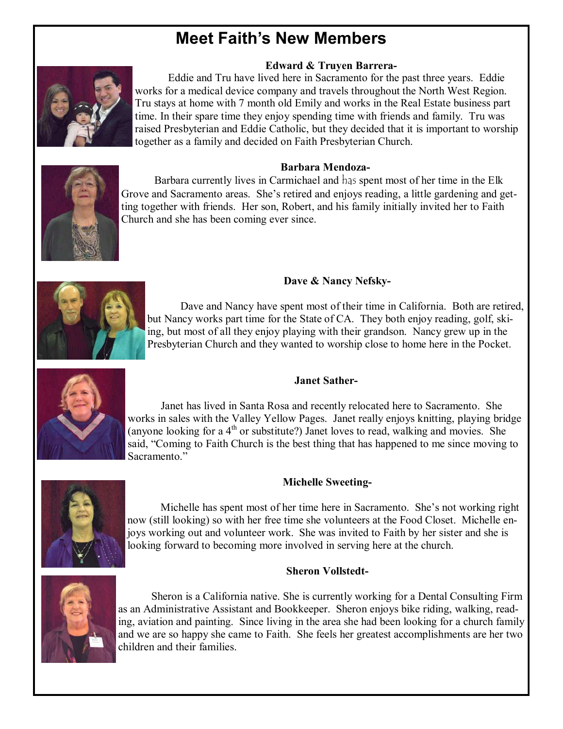# Meet Faith's New Members

#### Edward & Truyen Barrera-



 Eddie and Tru have lived here in Sacramento for the past three years. Eddie works for a medical device company and travels throughout the North West Region. Tru stays at home with 7 month old Emily and works in the Real Estate business part time. In their spare time they enjoy spending time with friends and family. Tru was raised Presbyterian and Eddie Catholic, but they decided that it is important to worship together as a family and decided on Faith Presbyterian Church.

#### Barbara Mendoza-



Barbara currently lives in Carmichael and has spent most of her time in the Elk Grove and Sacramento areas. She's retired and enjoys reading, a little gardening and getting together with friends. Her son, Robert, and his family initially invited her to Faith Church and she has been coming ever since.



Dave & Nancy Nefsky-

Dave and Nancy have spent most of their time in California. Both are retired, but Nancy works part time for the State of CA. They both enjoy reading, golf, skiing, but most of all they enjoy playing with their grandson. Nancy grew up in the Presbyterian Church and they wanted to worship close to home here in the Pocket.



#### Janet Sather-

 Janet has lived in Santa Rosa and recently relocated here to Sacramento. She works in sales with the Valley Yellow Pages. Janet really enjoys knitting, playing bridge (anyone looking for a  $4<sup>th</sup>$  or substitute?) Janet loves to read, walking and movies. She said, "Coming to Faith Church is the best thing that has happened to me since moving to Sacramento."

#### Michelle Sweeting-



 Michelle has spent most of her time here in Sacramento. She's not working right now (still looking) so with her free time she volunteers at the Food Closet. Michelle enjoys working out and volunteer work. She was invited to Faith by her sister and she is looking forward to becoming more involved in serving here at the church.

#### Sheron Vollstedt-



 Sheron is a California native. She is currently working for a Dental Consulting Firm as an Administrative Assistant and Bookkeeper. Sheron enjoys bike riding, walking, reading, aviation and painting. Since living in the area she had been looking for a church family and we are so happy she came to Faith. She feels her greatest accomplishments are her two children and their families.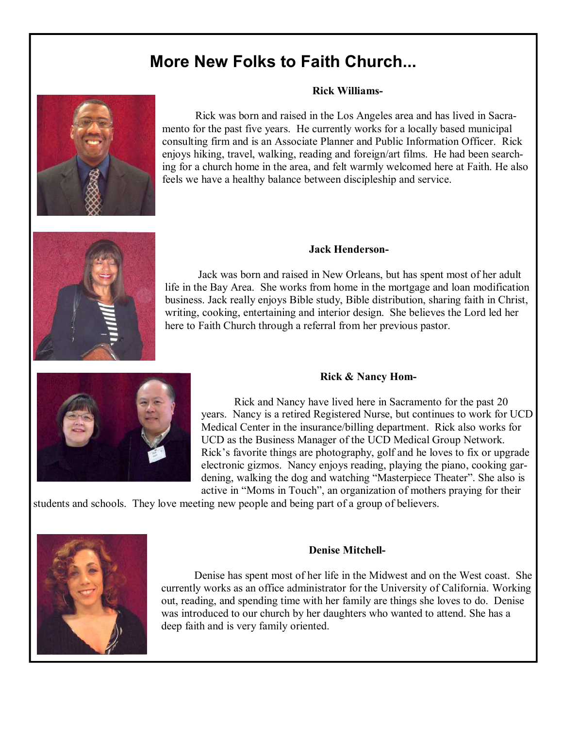# More New Folks to Faith Church...

#### Rick Williams-

 Rick was born and raised in the Los Angeles area and has lived in Sacramento for the past five years. He currently works for a locally based municipal consulting firm and is an Associate Planner and Public Information Officer. Rick enjoys hiking, travel, walking, reading and foreign/art films. He had been searching for a church home in the area, and felt warmly welcomed here at Faith. He also feels we have a healthy balance between discipleship and service.



#### Jack Henderson-

Jack was born and raised in New Orleans, but has spent most of her adult life in the Bay Area. She works from home in the mortgage and loan modification business. Jack really enjoys Bible study, Bible distribution, sharing faith in Christ, writing, cooking, entertaining and interior design. She believes the Lord led her here to Faith Church through a referral from her previous pastor.



#### Rick & Nancy Hom-

 Rick and Nancy have lived here in Sacramento for the past 20 years. Nancy is a retired Registered Nurse, but continues to work for UCD Medical Center in the insurance/billing department. Rick also works for UCD as the Business Manager of the UCD Medical Group Network. Rick's favorite things are photography, golf and he loves to fix or upgrade electronic gizmos. Nancy enjoys reading, playing the piano, cooking gardening, walking the dog and watching "Masterpiece Theater". She also is active in "Moms in Touch", an organization of mothers praying for their

students and schools. They love meeting new people and being part of a group of believers.



#### Denise Mitchell-

 Denise has spent most of her life in the Midwest and on the West coast. She currently works as an office administrator for the University of California. Working out, reading, and spending time with her family are things she loves to do. Denise was introduced to our church by her daughters who wanted to attend. She has a deep faith and is very family oriented.